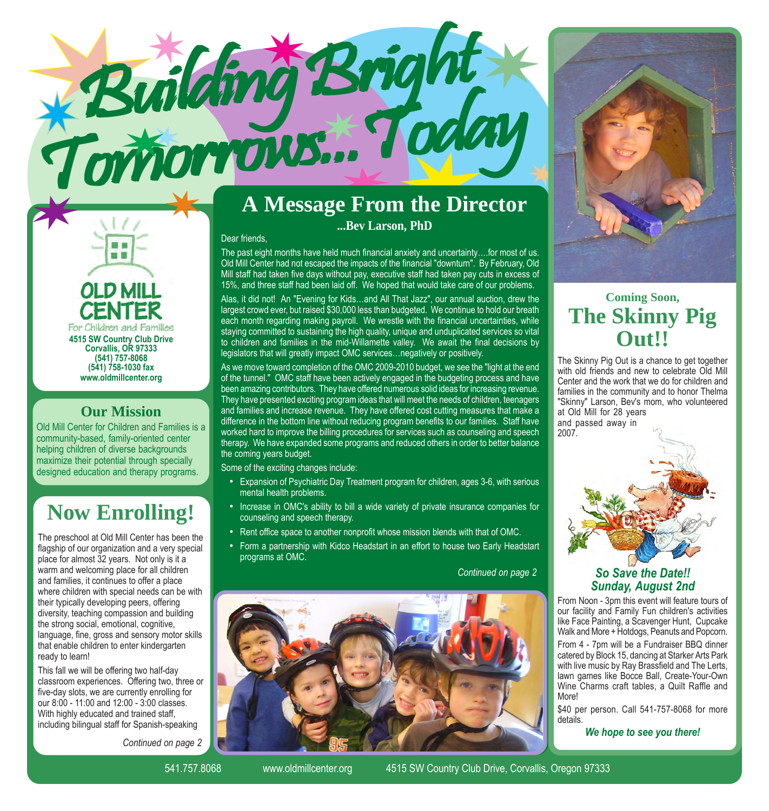

**OLD MILL** For Children and Families **4515 SW Country Club Drive Corvallis, OR 97333 (541) 757-8068 (541) 758-1030 fax www.oldmillcenter.org**

■■

### **Our Mission**

Old Mill Center for Children and Families is a community-based, family-oriented center helping children of diverse backgrounds maximize their potential through specially designed education and therapy programs.

# **Now Enrolling!**

The preschool at Old Mill Center has been the flagship of our organization and a very special place for almost 32 years. Not only is it a warm and welcoming place for all children and families, it continues to offer a place where children with special needs can be with their typically developing peers, offering diversity, teaching compassion and building the strong social, emotional, cognitive, language, fine, gross and sensory motor skills that enable children to enter kindergarten ready to learn!

This fall we will be offering two half-day classroom experiences. Offering two, three or five-day slots, we are currently enrolling for our 8:00 - 11:00 and 12:00 - 3:00 classes. With highly educated and trained staff, including bilingual staff for Spanish-speaking

*Continued on page 2*

# **A Message From the Director**

**...Bev Larson, PhD**

#### Dear friends,

The past eight months have held much financial anxiety and uncertainty....for most of us. Old Mill Center had not escaped the impacts of the financial "downturn". By February, Old Mill staff had taken five days without pay, executive staff had taken pay cuts in excess of 15%, and three staff had been laid off. We hoped that would take care of our problems.

Alas, it did not! An "Evening for Kids...and All That Jazz", our annual auction, drew the largest crowd ever, but raised \$30,000 less than budgeted. We continue to hold our breath each month regarding making payroll. We wrestle with the financial uncertainties, while staying committed to sustaining the high quality, unique and unduplicated services so vital to children and families in the mid-Willamette valley. We await the final decisions by legislators that will greatly impact OMC services... negatively or positively.

As we move toward completion of the OMC 2009-2010 budget, we see the "light at the end of the tunnel." OMC staff have been actively engaged in the budgeting process and have been amazing contributors. They have offered numerous solid ideas for increasing revenue. They have presented exciting program ideas that will meet the needs of children, teenagers and families and increase revenue. They have offered cost cutting measures that make a difference in the bottom line without reducing program benefits to our families. Staff have worked hard to improve the billing procedures for services such as counseling and speech therapy. We have expanded some programs and reduced others in order to better balance the coming years budget.

Some of the exciting changes include:

- Expansion of Psychiatric Day Treatment program for children, ages 3-6, with serious mental health problems.
- Increase in OMC's ability to bill a wide variety of private insurance companies for counseling and speech therapy.
- Rent office space to another nonprofit whose mission blends with that of OMC.
- Form a partnership with Kidco Headstart in an effort to house two Early Headstart programs at OMC.

*Continued on page 2*





## **Coming Soon, The Skinny Pig Out!!**

The Skinny Pig Out is a chance to get together with old friends and new to celebrate Old Mill Center and the work that we do for children and families in the community and to honor Thelma "Skinny" Larson, Bev's mom, who volunteered at Old Mill for 28 years and passed away in



### *So Save the Date!! Sunday, August 2nd*

From Noon - 3pm this event will feature tours of our facility and Family Fun children's activities like Face Painting, a Scavenger Hunt, Cupcake Walk and More + Hotdogs, Peanuts and Popcorn.

From 4 - 7pm will be a Fundraiser BBQ dinner catered by Block 15, dancing at Starker Arts Park with live music by Ray Brassfield and The Lerts, lawn games like Bocce Ball, Create-Your-Own Wine Charms craft tables, a Quilt Raffle and More!

\$40 per person. Call 541-757-8068 for more details.

*We hope to see you there!*

541.757.8068 www.oldmillcenter.org 4515 SW Country Club Drive, Corvallis, Oregon 97333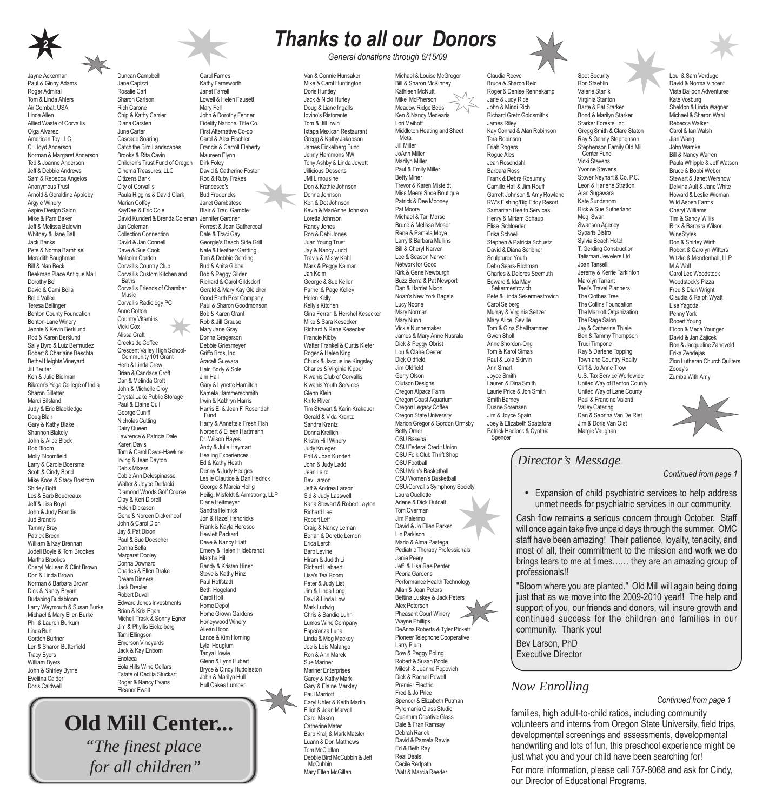

Jayne Ackerman

Paul & Ginny Adams Roger Admiral Tom & Linda Ahlers Air Combat, USA Linda Allen Allied Waste of Corvallis Olga Alvarez American Toy LLC C. Lloyd Anderson Norman & Margaret Anderson Ted & Joanne Anderson Jeff & Debbie Andrews Sam & Rebecca Angelos Anonymous Trust Arnold & Geraldine Appleby Argyle Winery Aspire Design Salon Mike & Pam Baker Jeff & Melissa Baldwin Whitney & Jane Ball Jack Banks Pete & Norma Barnhisel Meredith Baughman Bill & Nan Beck Beekman Place Antique Mall Dorothy Bell David & Cami Bella Belle Vallee Teresa Bellinger Benton County Foundation Benton-Lane Winery Jennie & Kevin Berklund Rod & Karen Berklund Sally Byrd & Luiz Bermudez Robert & Charlaine Beschta Bethel Heights Vineyard Jill Beuter Ken & Julie Bielman Bikram's Yoga College of India Sharon Billetter Mardi Bilsland Judy & Eric Blackledge Doug Blair Gary & Kathy Blake Shannon Blakely John & Alice Block Rob Bloom Molly Bloomfield Larry & Carole Boersma Scott & Cindy Bond Mike Koos & Stacy Bostrom Shirley Botti Les & Barb Boudreaux Jeff & Lisa Boyd John & Judy Brandis Jud Brandis Tammy Bray Patrick Breen William & Kay Brennan Jodell Boyle & Tom Brookes Martha Brookes Cheryl McLean & Clint Brown Don & Linda Brown Norman & Barbara Brown Dick & Nancy Bryant Budabing Budabloom Larry Weymouth & Susan Burke Michael & Mary Ellen Burke Phil & Lauren Burkum Linda Burt Gordon Burtner Len & Sharon Butterfield Tracy Byers William Byers John & Shirley Byrne Eveliina Calder Doris Caldwell



Carol Farnes Kathy Farnsworth Janet Farrell Lowell & Helen Fausett Mary Fell John & Dorothy Fenner Fidelity National Title Co. First Alternative Co-op Carol & Alex Fischler Francis & Carroll Flaherty Maureen Flynn Dirk Foley

David & Catherine Foster Rod & Ruby Frakes Francesco's Bud Fredericks Janet Gambatese Blair & Traci Gamble Forrest & Joan Gathercoal Dale & Traci Gay Georgie's Beach Side Grill Nate & Heather Gerding Tom & Debbie Gerding Bud & Anita Gibbs Bob & Peggy Gilder Richard & Carol Gildsdorf Gerald & Mary Kay Gleicher Good Earth Pest Company Paul & Sharon Goodmonson Bob & Karen Grant Rob & Jill Grause Mary Jane Gray Donna Gregerson Debbie Griesmeyer Griffo Bros, Inc Aracelt Guevara Hair, Body & Sole Jim Hall

Gary & Lynette Hamilton Kamela Hammerschmith Irwin & Kathryn Harris Harris E. & Jean F. Rosendahl

Harry & Annette's Fresh Fish Norbert & Eileen Hartmann Dr. Wilson Hayes Andy & Julie Haymart Healing Experiences Ed & Kathy Heath Denny & Judy Hedges Leslie Clautice & Dan Hedrick George & Marcia Heilig Heilig, Misfeldt & Armstrong, LLP

Fund

Diane Heitmeyer Sandra Helmick Jon & Hazel Hendricks Frank & Kayla Heresco Hewlett Packard Dave & Nancy Hiatt Emery & Helen Hildebrandt

Marsha Hill Randy & Kristen Hiner Steve & Kathy Hinz Paul Hoffstadt Beth Hogeland Carol Holt Home Depot Home Grown Gardens Honeywood Winery Ailean Hood Lance & Kim Horning Lyla Houglum

Duncan Campbell Jane Capizzi Rosalie Carl Sharon Carlson Rich Carone Chip & Kathy Carrier Diana Carsten June Carter Cascade Soaring Catch the Bird Landscapes Brooks & Rita Cavin Children's Trust Fund of Oregon Cinema Treasures, LLC Citizens Bank City of Corvallis Paula Higgins & David Clark

Marian Coffey KayDee & Eric Cole

Jan Coleman Collection Connection David & Jan Connell Dave & Sue Cook Malcolm Corden Corvallis Country Club Corvallis Custom Kitchen and

Baths

Corvallis Friends of Chamber Music Corvallis Radiology PC Anne Cotton Country Vitamins Vicki Cox Alissa Craft Creekside Coffee Crescent Valley High School-Community 101 Grant Herb & Linda Crew Brian & Candace Croft Dan & Melinda Croft John & Michelle Croy Crystal Lake Public Storage Paul & Elaine Cull George Cuniff Nicholas Cutting Dairy Queen Lawrence & Patricia Dale Karen Davis

Tom & Carol Davis-Hawkins Irving & Jean Dayton Deb's Mixers Cobie Ann Delespinasse Walter & Joyce Derlacki Diamond Woods Golf Course Clay & Keri Dibrell Helen Dickason Gene & Noreen Dickerhoof John & Carol Dion Jay & Pat Dixon Paul & Sue Doescher Donna Bella Margaret Dooley Donna Downard Charles & Ellen Drake Dream Dinners Jack Drexler Robert Duvall Edward Jones Investments Brian & Kris Egan Michell Trask & Sonny Egner Jim & Phyllis Eickelberg Tami Ellingson Emerson Vineyards Jack & Kay Enbom

David Kundert & Brenda Coleman Jennifer Gardner

## *Thanks to all our Donors*

*General donations through 6/15/09*

Van & Connie Hunsaker Mike & Carol Huntington Doris Huntley Jack & Nicki Hurley Doug & Liane Ingalls Iovino's Ristorante Tom & Jill Irwin Ixtapa Mexican Restaurant Gregg & Kathy Jakobson James Eickelberg Fund Jenny Hammons NW Tony Ashby & Linda Jewett Jillicious Desserts JMI Limousine Don & Kathie Johnson Donna Johnson Ken & Dot Johnson Kevin & MariAnne Johnson Loretta Johnson Randy Jones Ron & Debi Jones Juan Young Trust Jay & Nancy Judd Travis & Missy Kahl Mark & Peggy Kalmar Jan Keim George & Sue Keller Parnel & Page Kelley Helen Kelly Kelly's Kitchen Gina Ferrari & Hershel Kesecker Mike & Sara Kesecker Richard & Rene Kesecker Francie Kibby Walter Frankel & Curtis Kiefer Roger & Helen King Chuck & Jacqueline Kingsley Charles & Virginia Kipper Kiwanis Club of Corvallis Kiwanis Youth Services Glenn Klein Knife River Tim Stewart & Karin Krakauer Gerald & Vida Krantz Sandra Krantz Donna Kreilich Kristin Hill Winery Judy Krueger Phil & Joan Kundert John & Judy Ladd Jean Laird Bev Larson Jeff & Andrea Larson Sid & Judy Lasswell Karla Stewart & Robert Layton Richard Lee Robert Leff Craig & Nancy Leman Berlan & Dorette Lemon Erica Lerch Barb Levine Hiram & Judith Li Richard Liebaert Lisa's Tea Room Peter & Judy List Jim & Linda Long Davi & Linda Low Mark Ludwig Chris & Sandie Luhn Lumos Wine Company Esperanza Luna Linda & Meg Mackey Joe & Lois Malango Ron & Ann Marek Sue Mariner Mariner Enterprises Garey & Kathy Mark Gary & Elaine Markley Paul Marriott Caryl Uhler & Keith Martin Elliot & Jean Marvell Carol Mason Catherine Mater Barb Kralj & Mark Matsler Luann & Don Matthews Tom McClellan Debbie Bird McCubbin & Jeff McCubbin

Mary Ellen McGillan

Michael & Louise McGregor Bill & Sharon McKinney Kathleen McNutt Mike McPherson Meadow Ridge Bees Ken & Nancy Medearis Lori Meihoff Middleton Heating and Sheet **Metal** Jill Miller JoAnn Miller Marilyn Miller Paul & Emily Miller Betty Miner Trevor & Karen Misfeldt Miss Meers Shoe Boutique Patrick & Dee Mooney Pat Moore Michael & Tari Morse Bruce & Melissa Moser Rene & Pamela Moye Larry & Barbara Mullins Bill & Cheryl Narver Lee & Season Narver Network for Good Kirk & Gene Newburgh Buzz Berra & Pat Newport Dan & Harriet Nixon Noah's New York Bagels Lucy Noone Mary Norman Mary Nunn Vickie Nunnemaker James & Mary Anne Nusrala Dick & Peggy Obrist Lou & Claire Oester Dick Oldfield Jim Oldfield Gerry Olson Olufson Designs Oregon Alpaca Farm Oregon Coast Aquarium Oregon Legacy Coffee Oregon State University Marion Gregor & Gordon Ormsby Betty Orner OSU Baseball OSU Federal Credit Union OSU Folk Club Thrift Shop OSU Football OSU Men's Basketball OSU Women's Basketball OSU/Corvallis Symphony Society Laura Ouellette Arlene & Dick Outcalt Tom Overman Jim Palermo David & Jo Ellen Parker Lin Parkison Mario & Alma Pastega Pediatric Therapy Professionals Janie Peery Jeff & Lisa Rae Penter Peoria Gardens Performance Health Technology Allan & Jean Peters Bettina Luskey & Jack Peters Alex Peterson Pheasant Court Winery Wayne Phillips DeAnna Roberts & Tyler Pickett Pioneer Telephone Cooperative Larry Plum Dow & Peggy Poling Robert & Susan Poole Milosh & Jeanne Popovich Dick & Rachel Powell Premier Electric Fred & Jo Price Spencer & Elizabeth Putman Pyromania Glass Studio Quantum Creative Glass Dale & Fran Ramsay Debrah Rarick David & Pamela Rawie Ed & Beth Ray Real Deals Cecile Redpath Walt & Marcia Reeder



Claudia Reeve Bruce & Sharon Reid Roger & Denise Rennekamp Jane & Judy Rice John & Mindi Rich Richard Gretz Goldsmiths James Riley

Tara Robinson Friah Rogers Rogue Ales Jean Rosendahl Barbara Ross Frank & Debra Rosumny Camille Hall & Jim Rouff

Carol Selberg Murray & Virginia Seltzer Mary Alice Seville Tom & Gina Shellhammer Gwen Sholl Anne Shordon-Ong Tom & Karol Simas Paul & Lola Skirvin Ann Smart Joyce Smith Lauren & Dina Smith Laurie Price & Jon Smith Smith Barney Duane Sorensen Jim & Joyce Spain Joey & Elizabeth Spatafora Patrick Hadlock & Cynthia Spencer

Kay Conrad & Alan Robinson

RW's Fishing/Big Eddy Resort Samaritan Health Services Henry & Miriam Schaup Elise Schloeder Erika Schoell Stephen & Patricia Schuetz David & Diana Scribner Sculptured Youth Debo Sears-Richman Charles & Delores Seemuth Edward & Ida May Sekermestrovich Pete & Linda Sekermestrovich

Garrett Johnson & Amy Rowland Ron Staehlin Valerie Stanik Virginia Stanton Barte & Pat Starker Bond & Marilyn Starker Starker Forests, Inc. Gregg Smith & Clare Staton Ray & Genny Stephenson Stephenson Family Old Mill Center Fund Vicki Stevens Yvonne Stevens Stover Neyhart & Co. P.C. Leon & Harlene Stratton Alan Sugawara Kate Sundstrom Rick & Sue Sutherland Meg Swan Swanson Agency Sybaris Bistro Sylvia Beach Hotel T. Gerding Construction Talisman Jewelers Ltd. Joan Tanselli Jeremy & Kerrie Tarkinton Marolyn Tarrant Teel's Travel Planners The Clothes Tree The Collins Foundation The Marriott Organization The Rage Salon Jay & Catherine Thiele Ben & Tammy Thompson Trudi Timpone Ray & Darlene Topping Town and Country Realty Cliff & Jo Anne Trow U.S. Tax Service Worldwide United Way of Benton County United Way of Lane County Paul & Francine Valenti Valley Catering Dan & Sabrina Van De Riet Jim & Doris Van Olst

Spot Security

Lou & Sam Verdugo David & Norma Vincent Vista Balloon Adventures Kate Vosburg Sheldon & Linda Wagner Michael & Sharon Wahl Rebecca Walker Carol & Ian Walsh Jian Wang John Warnke Bill & Nancy Warren Paula Whipple & Jeff Watson Bruce & Bobbi Weber Stewart & Janet Wershow Delvina Ault & Jane White Howard & Leslie Wieman Wild Aspen Farms Cheryl Williams Tim & Sandy Willis Rick & Barbara Wilson **WineStyles** Don & Shirley Wirth Robert & Carolyn Witters Witzke & Mendenhall, LLP M A Wolf Carol Lee Woodstock Woodstock's Pizza Fred & Dian Wright Claudia & Ralph Wyatt Lisa Yagoda Penny York Robert Young Eldon & Meda Younger David & Jan Zajicek Ron & Jacqueline Zaneveld Erika Zendejas Zion Lutheran Church Quilters Zooey's Zumba With Amy



### *Director's Message*

Margie Vaughan

*Continued from page 1*

• Expansion of child psychiatric services to help address unmet needs for psychiatric services in our community.

Cash flow remains a serious concern through October. Staff will once again take five unpaid days through the summer. OMC staff have been amazing! Their patience, loyalty, tenacity, and most of all, their commitment to the mission and work we do brings tears to me at times...... they are an amazing group of professionals!!

"Bloom where you are planted." Old Mill will again being doing just that as we move into the 2009-2010 year!! The help and support of you, our friends and donors, will insure growth and continued success for the children and families in our community. Thank you!

Bev Larson, PhD Executive Director

### *Now Enrolling*

*Continued from page 1*

families, high adult-to-child ratios, including community volunteers and interns from Oregon State University, field trips, developmental screenings and assessments, developmental handwriting and lots of fun, this preschool experience might be just what you and your child have been searching for!

For more information, please call 757-8068 and ask for Cindy, our Director of Educational Programs.

 **Old Mill Center...** *"The finest place for all children"* Estate of Cecilia Stuckart Roger & Nancy Evans Eleanor Ewalt Bryce & Cindy Huddleston John & Marilyn Hull Hull Oakes Lumber

Enoteca Eola Hills Wine Cellars Tanya Howie Glenn & Lynn Hubert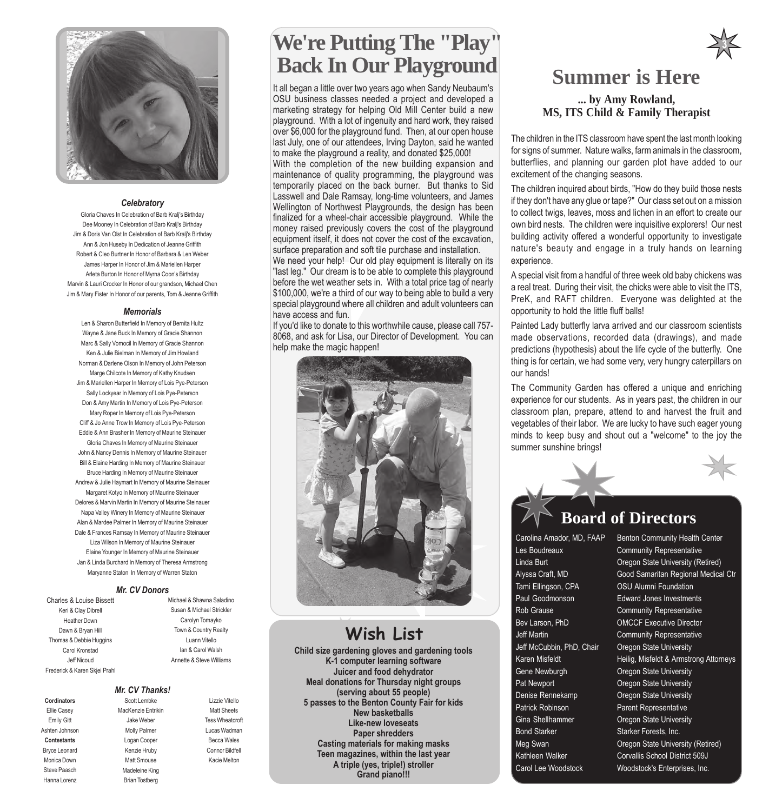

#### *Celebratory*

Gloria Chaves In Celebration of Barb Kralj's Birthday Dee Mooney In Celebration of Barb Kralj's Birthday Jim & Doris Van Olst In Celebration of Barb Kralj's Birthday Ann & Jon Huseby In Dedication of Jeanne Griffith Robert & Cleo Burtner In Honor of Barbara & Len Weber James Harper In Honor of Jim & Mariellen Harper Arleta Burton In Honor of Myrna Coon's Birthday Marvin & Lauri Crocker In Honor of our grandson, Michael Chen Jim & Mary Fister In Honor of our parents, Tom & Jeanne Griffith

#### *Memorials*

Len & Sharon Butterfield In Memory of Bernita Hultz Wayne & Jane Buck In Memory of Gracie Shannon Marc & Sally Vomocil In Memory of Gracie Shannon Ken & Julie Bielman In Memory of Jim Howland Norman & Darlene Olson In Memory of John Peterson Marge Chilcote In Memory of Kathy Knudsen Jim & Mariellen Harper In Memory of Lois Pye-Peterson Sally Lockyear In Memory of Lois Pye-Peterson Don & Amy Martin In Memory of Lois Pye-Peterson Mary Roper In Memory of Lois Pye-Peterson Cliff & Jo Anne Trow In Memory of Lois Pye-Peterson Eddie & Ann Brasher In Memory of Maurine Steinauer Gloria Chaves In Memory of Maurine Steinauer John & Nancy Dennis In Memory of Maurine Steinauer Bill & Elaine Harding In Memory of Maurine Steinauer Bruce Harding In Memory of Maurine Steinauer Andrew & Julie Haymart In Memory of Maurine Steinauer Margaret Kotyo In Memory of Maurine Steinauer Delores & Marvin Martin In Memory of Maurine Steinauer Napa Valley Winery In Memory of Maurine Steinauer Alan & Mardee Palmer In Memory of Maurine Steinauer Dale & Frances Ramsay In Memory of Maurine Steinauer Liza Wilson In Memory of Maurine Steinauer Elaine Younger In Memory of Maurine Steinauer Jan & Linda Burchard In Memory of Theresa Armstrong Maryanne Staton In Memory of Warren Staton

#### *Mr. CV Donors*

Charles & Louise Bissett Keri & Clay Dibrell Heather Down Dawn & Bryan Hill Thomas & Debbie Huggins Carol Kronstad Jeff Nicoud Frederick & Karen Skjei Prahl

**Cordinators** Ellie Casey Emily Gitt Ashten Johnson **Contestants** Bryce Leonard Monica Down Steve Paasch Hanna Lorenz

Michael & Shawna Saladino Susan & Michael Strickler Carolyn Tomayko Town & Country Realty Luann Vitello Ian & Carol Walsh Annette & Steve Williams

#### *Mr. CV Thanks!* Scott Lembke

MacKenzie Entrikin Jake Weber Molly Palmer Logan Cooper Kenzie Hruby Matt Smouse Madeleine King Brian Tostberg

Lizzie Vitello Matt Sheets Tess Wheatcroft Lucas Wadman Becca Wales Connor Bildfell Kacie Melton

# **We're Putting The "Play" Back In Our Playground**

It all began a little over two years ago when Sandy Neubaum's OSU business classes needed a project and developed a marketing strategy for helping Old Mill Center build a new playground. With a lot of ingenuity and hard work, they raised over \$6,000 for the playground fund. Then, at our open house last July, one of our attendees, Irving Dayton, said he wanted to make the playground a reality, and donated \$25,000!

With the completion of the new building expansion and maintenance of quality programming, the playground was temporarily placed on the back burner. But thanks to Sid Lasswell and Dale Ramsay, long-time volunteers, and James Wellington of Northwest Playgrounds, the design has been finalized for a wheel-chair accessible playground. While the money raised previously covers the cost of the playground equipment itself, it does not cover the cost of the excavation, surface preparation and soft tile purchase and installation.

We need your help! Our old play equipment is literally on its "last leg." Our dream is to be able to complete this playground before the wet weather sets in. With a total price tag of nearly \$100,000, we're a third of our way to being able to build a very special playground where all children and adult volunteers can have access and fun.

If you'd like to donate to this worthwhile cause, please call 757- 8068, and ask for Lisa, our Director of Development. You can help make the magic happen!



## **Wish List**

**Child size gardening gloves and gardening tools K-1 computer learning software Juicer and food dehydrator Meal donations for Thursday night groups (serving about 55 people) 5 passes to the Benton County Fair for kids New basketballs Like-new loveseats Paper shredders Casting materials for making masks Teen magazines, within the last year A triple (yes, triple!) stroller Grand piano!!!**

## **Summer is Here**

**3**

**... by Amy Rowland, MS, ITS Child & Family Therapist**

The children in the ITS classroom have spent the last month looking for signs of summer. Nature walks, farm animals in the classroom, butterflies, and planning our garden plot have added to our excitement of the changing seasons.

The children inquired about birds, "How do they build those nests if they don't have any glue or tape?" Our class set out on a mission to collect twigs, leaves, moss and lichen in an effort to create our own bird nests. The children were inquisitive explorers! Our nest building activity offered a wonderful opportunity to investigate nature's beauty and engage in a truly hands on learning experience.

A special visit from a handful of three week old baby chickens was a real treat. During their visit, the chicks were able to visit the ITS, PreK, and RAFT children. Everyone was delighted at the opportunity to hold the little fluff balls!

Painted Lady butterfly larva arrived and our classroom scientists made observations, recorded data (drawings), and made predictions (hypothesis) about the life cycle of the butterfly. One thing is for certain, we had some very, very hungry caterpillars on our hands!

The Community Garden has offered a unique and enriching experience for our students. As in years past, the children in our classroom plan, prepare, attend to and harvest the fruit and vegetables of their labor. We are lucky to have such eager young minds to keep busy and shout out a "welcome" to the joy the summer sunshine brings!

### **Board of Directors**

Les Boudreaux **Community Representative** Tami Ellingson, CPA OSU Alumni Foundation Paul Goodmonson **Edward Jones Investments** Rob Grause **Community Representative** Bev Larson, PhD OMCCF Executive Director Jeff Martin **Community Representative** Jeff McCubbin, PhD, Chair Oregon State University Gene Newburgh **Oregon State University** Pat Newport **Calculation Cregon State University** Denise Rennekamp **Oregon State University** Patrick Robinson **Parent Representative** Gina Shellhammer **Oregon State University** Bond Starker Starker Forests, Inc.

Carolina Amador, MD, FAAP Benton Community Health Center Linda Burt Oregon State University (Retired) Alyssa Craft, MD Good Samaritan Regional Medical Ctr Karen Misfeldt **Heilig, Misfeldt & Armstrong Attorneys** Meg Swan **Oregon State University (Retired)** Kathleen Walker Corvallis School District 509J Carol Lee Woodstock Woodstock's Enterprises, Inc.